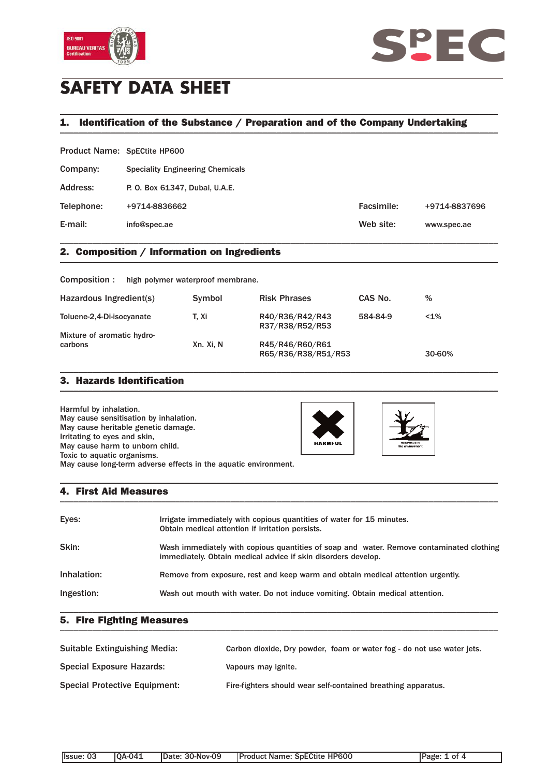



# **SAFETY DATA SHEET**

#### 1. Identification of the Substance / Preparation and of the Company Undertaking

\_\_\_\_\_\_\_\_\_\_\_\_\_\_\_\_\_\_\_\_\_\_\_\_\_\_\_\_\_\_\_\_\_\_\_\_\_\_\_\_\_\_\_\_\_\_\_\_\_\_\_\_\_\_\_\_\_\_\_\_\_\_\_\_\_\_\_\_\_\_\_\_\_\_\_\_\_\_\_\_\_\_\_\_\_\_\_\_\_\_\_\_\_\_\_

Product Name: SpECtite HP600

| Company:   | <b>Speciality Engineering Chemicals</b> |            |               |
|------------|-----------------------------------------|------------|---------------|
| Address:   | P. O. Box 61347, Dubai, U.A.E.          |            |               |
| Telephone: | +9714-8836662                           | Facsimile: | +9714-8837696 |
| E-mail:    | info@spec.ae                            | Web site:  | www.spec.ae   |
|            |                                         |            |               |

#### **2. Composition / Information on Ingredients \_\_\_\_\_\_\_\_\_\_\_\_\_\_\_\_\_\_\_\_\_\_\_\_\_\_\_\_\_\_\_\_\_\_\_\_\_\_\_\_\_\_\_\_\_\_\_\_\_\_\_\_\_\_\_\_\_\_\_\_\_\_\_\_\_\_\_\_\_\_\_\_\_\_\_\_\_\_\_\_\_\_\_\_\_\_\_\_\_\_\_\_\_\_\_**

Composition : high polymer waterproof membrane.

| Hazardous Ingredient(s)                                 | Symbol    | <b>Risk Phrases</b>                    | CAS No.  | %      |
|---------------------------------------------------------|-----------|----------------------------------------|----------|--------|
| Toluene-2,4-Di-isocyanate<br>Mixture of aromatic hydro- | T. Xi     | R40/R36/R42/R43<br>R37/R38/R52/R53     | 584-84-9 | $1\%$  |
| carbons                                                 | Xn. Xi, N | R45/R46/R60/R61<br>R65/R36/R38/R51/R53 |          | 30-60% |

\_\_\_\_\_\_\_\_\_\_\_\_\_\_\_\_\_\_\_\_\_\_\_\_\_\_\_\_\_\_\_\_\_\_\_\_\_\_\_\_\_\_\_\_\_\_\_\_\_\_\_\_\_\_\_\_\_\_\_\_\_\_\_\_\_\_\_\_\_\_\_\_\_\_\_\_\_\_\_\_\_\_\_\_\_\_\_\_\_\_\_\_\_\_\_

### **3. Hazards Identification \_\_\_\_\_\_\_\_\_\_\_\_\_\_\_\_\_\_\_\_\_\_\_\_\_\_\_\_\_\_\_\_\_\_\_\_\_\_\_\_\_\_\_\_\_\_\_\_\_\_\_\_\_\_\_\_\_\_\_\_\_\_\_\_\_\_\_\_\_\_\_\_\_\_\_\_\_\_\_\_\_\_\_\_\_\_\_\_\_\_\_\_\_\_\_**

Harmful by inhalation. May cause sensitisation by inhalation. May cause heritable genetic damage. Irritating to eyes and skin, May cause harm to unborn child. Toxic to aquatic organisms. May cause long-term adverse effects in the aquatic environment.

#### **4. First Aid Measures \_\_\_\_\_\_\_\_\_\_\_\_\_\_\_\_\_\_\_\_\_\_\_\_\_\_\_\_\_\_\_\_\_\_\_\_\_\_\_\_\_\_\_\_\_\_\_\_\_\_\_\_\_\_\_\_\_\_\_\_\_\_\_\_\_\_\_\_\_\_\_\_\_\_\_\_\_\_\_\_\_\_\_\_\_\_\_\_\_\_\_\_\_\_\_**

| Eyes:       | Irrigate immediately with copious quantities of water for 15 minutes.<br>Obtain medical attention if irritation persists.                                 |
|-------------|-----------------------------------------------------------------------------------------------------------------------------------------------------------|
| Skin:       | Wash immediately with copious quantities of soap and water. Remove contaminated clothing<br>immediately. Obtain medical advice if skin disorders develop. |
| Inhalation: | Remove from exposure, rest and keep warm and obtain medical attention urgently.                                                                           |
| Ingestion:  | Wash out mouth with water. Do not induce vomiting. Obtain medical attention.                                                                              |

\_\_\_\_\_\_\_\_\_\_\_\_\_\_\_\_\_\_\_\_\_\_\_\_\_\_\_\_\_\_\_\_\_\_\_\_\_\_\_\_\_\_\_\_\_\_\_\_\_\_\_\_\_\_\_\_\_\_\_\_\_\_\_\_\_\_\_\_\_\_\_\_\_\_\_\_\_\_\_\_\_\_\_\_\_\_\_\_\_\_\_\_\_\_\_

\_\_\_\_\_\_\_\_\_\_\_\_\_\_\_\_\_\_\_\_\_\_\_\_\_\_\_\_\_\_\_\_\_\_\_\_\_\_\_\_\_\_\_\_\_\_\_\_\_\_\_\_\_\_\_\_\_\_\_\_\_\_\_\_\_\_\_\_\_\_\_\_\_\_\_\_\_\_\_\_\_\_\_\_\_\_\_\_\_\_\_\_\_\_\_

#### **5. Fire Fighting Measures**

| Suitable Extinguishing Media:        | Carbon dioxide, Dry powder, foam or water fog - do not use water jets. |
|--------------------------------------|------------------------------------------------------------------------|
| <b>Special Exposure Hazards:</b>     | Vapours may ignite.                                                    |
| <b>Special Protective Equipment:</b> | Fire-fighters should wear self-contained breathing apparatus.          |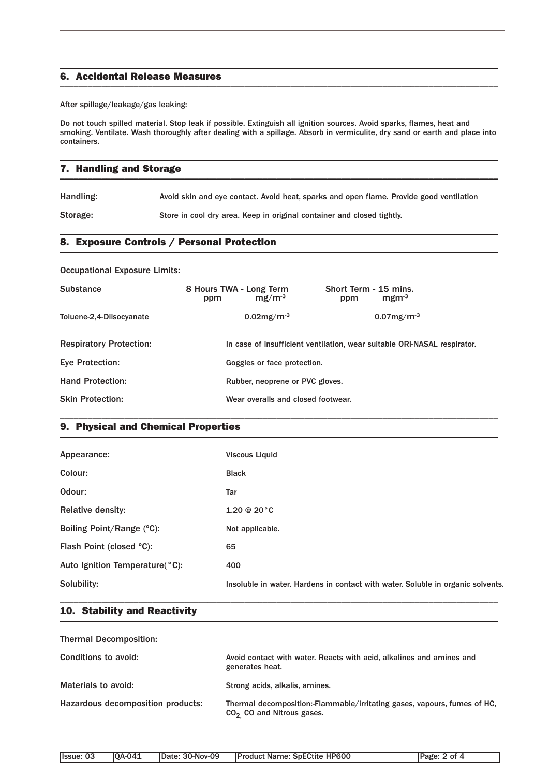#### **6. Accidental Release Measures \_\_\_\_\_\_\_\_\_\_\_\_\_\_\_\_\_\_\_\_\_\_\_\_\_\_\_\_\_\_\_\_\_\_\_\_\_\_\_\_\_\_\_\_\_\_\_\_\_\_\_\_\_\_\_\_\_\_\_\_\_\_\_\_\_\_\_\_\_\_\_\_\_\_\_\_\_\_\_\_\_\_\_\_\_\_\_\_\_\_\_\_\_\_\_**

After spillage/leakage/gas leaking:

Do not touch spilled material. Stop leak if possible. Extinguish all ignition sources. Avoid sparks, flames, heat and smoking. Ventilate. Wash thoroughly after dealing with a spillage. Absorb in vermiculite, dry sand or earth and place into containers.

\_\_\_\_\_\_\_\_\_\_\_\_\_\_\_\_\_\_\_\_\_\_\_\_\_\_\_\_\_\_\_\_\_\_\_\_\_\_\_\_\_\_\_\_\_\_\_\_\_\_\_\_\_\_\_\_\_\_\_\_\_\_\_\_\_\_\_\_\_\_\_\_\_\_\_\_\_\_\_\_\_\_\_\_\_\_\_\_\_\_\_\_\_\_\_

| 7. Handling and Storage |
|-------------------------|
|                         |

\_\_\_\_\_\_\_\_\_\_\_\_\_\_\_\_\_\_\_\_\_\_\_\_\_\_\_\_\_\_\_\_\_\_\_\_\_\_\_\_\_\_\_\_\_\_\_\_\_\_\_\_\_\_\_\_\_\_\_\_\_\_\_\_\_\_\_\_\_\_\_\_\_\_\_\_\_\_\_\_\_\_\_\_\_\_\_\_\_\_\_\_\_\_\_

Handling: Avoid skin and eye contact. Avoid heat, sparks and open flame. Provide good ventilation

Storage: Store in cool dry area. Keep in original container and closed tightly.

#### **8. Exposure Controls / Personal Protection \_\_\_\_\_\_\_\_\_\_\_\_\_\_\_\_\_\_\_\_\_\_\_\_\_\_\_\_\_\_\_\_\_\_\_\_\_\_\_\_\_\_\_\_\_\_\_\_\_\_\_\_\_\_\_\_\_\_\_\_\_\_\_\_\_\_\_\_\_\_\_\_\_\_\_\_\_\_\_\_\_\_\_\_\_\_\_\_\_\_\_\_\_\_\_**

Occupational Exposure Limits:

| <b>Substance</b>               | 8 Hours TWA - Long Term<br>$mg/m-3$<br>ppm | Short Term - 15 mins.<br>$mgm-3$<br>ppm                                  |
|--------------------------------|--------------------------------------------|--------------------------------------------------------------------------|
| Toluene-2,4-Diisocyanate       | $0.02$ mg/m <sup>-3</sup>                  | $0.07$ mg/m <sup>-3</sup>                                                |
| <b>Respiratory Protection:</b> |                                            | In case of insufficient ventilation, wear suitable ORI-NASAL respirator. |
| <b>Eve Protection:</b>         | Goggles or face protection.                |                                                                          |
| <b>Hand Protection:</b>        | Rubber, neoprene or PVC gloves.            |                                                                          |
| <b>Skin Protection:</b>        | Wear overalls and closed footwear.         |                                                                          |

\_\_\_\_\_\_\_\_\_\_\_\_\_\_\_\_\_\_\_\_\_\_\_\_\_\_\_\_\_\_\_\_\_\_\_\_\_\_\_\_\_\_\_\_\_\_\_\_\_\_\_\_\_\_\_\_\_\_\_\_\_\_\_\_\_\_\_\_\_\_\_\_\_\_\_\_\_\_\_\_\_\_\_\_\_\_\_\_\_\_\_\_\_\_\_

#### **9. Physical and Chemical Properties \_\_\_\_\_\_\_\_\_\_\_\_\_\_\_\_\_\_\_\_\_\_\_\_\_\_\_\_\_\_\_\_\_\_\_\_\_\_\_\_\_\_\_\_\_\_\_\_\_\_\_\_\_\_\_\_\_\_\_\_\_\_\_\_\_\_\_\_\_\_\_\_\_\_\_\_\_\_\_\_\_\_\_\_\_\_\_\_\_\_\_\_\_\_\_**

| Appearance:                    | <b>Viscous Liquid</b>                                                           |
|--------------------------------|---------------------------------------------------------------------------------|
| Colour:                        | <b>Black</b>                                                                    |
| Odour:                         | Tar                                                                             |
| <b>Relative density:</b>       | $1.20 \& 20 \degree C$                                                          |
| Boiling Point/Range (°C):      | Not applicable.                                                                 |
| Flash Point (closed °C):       | 65                                                                              |
| Auto Ignition Temperature(°C): | 400                                                                             |
| Solubility:                    | Insoluble in water. Hardens in contact with water. Soluble in organic solvents. |

**10. Stability and Reactivity \_\_\_\_\_\_\_\_\_\_\_\_\_\_\_\_\_\_\_\_\_\_\_\_\_\_\_\_\_\_\_\_\_\_\_\_\_\_\_\_\_\_\_\_\_\_\_\_\_\_\_\_\_\_\_\_\_\_\_\_\_\_\_\_\_\_\_\_\_\_\_\_\_\_\_\_\_\_\_\_\_\_\_\_\_\_\_\_\_\_\_\_\_\_\_**

| <b>Thermal Decomposition:</b>     |                                                                                                         |
|-----------------------------------|---------------------------------------------------------------------------------------------------------|
| Conditions to avoid:              | Avoid contact with water. Reacts with acid, alkalines and amines and<br>generates heat.                 |
| Materials to avoid:               | Strong acids, alkalis, amines.                                                                          |
| Hazardous decomposition products: | Thermal decomposition:-Flammable/irritating gases, vapours, fumes of HC.<br>$CO2$ CO and Nitrous gases. |

\_\_\_\_\_\_\_\_\_\_\_\_\_\_\_\_\_\_\_\_\_\_\_\_\_\_\_\_\_\_\_\_\_\_\_\_\_\_\_\_\_\_\_\_\_\_\_\_\_\_\_\_\_\_\_\_\_\_\_\_\_\_\_\_\_\_\_\_\_\_\_\_\_\_\_\_\_\_\_\_\_\_\_\_\_\_\_\_\_\_\_\_\_\_\_

| Ilssue: 03<br>Date: 30-Nov-09<br><b>0A-041</b> | <b>Product Name: SpECtite HP600</b> | Page: 2 of 4 |
|------------------------------------------------|-------------------------------------|--------------|
|------------------------------------------------|-------------------------------------|--------------|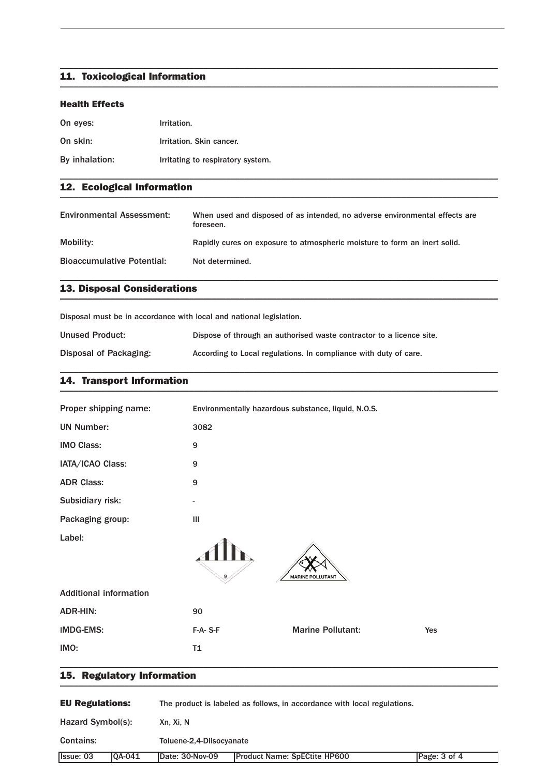# **11. Toxicological Information \_\_\_\_\_\_\_\_\_\_\_\_\_\_\_\_\_\_\_\_\_\_\_\_\_\_\_\_\_\_\_\_\_\_\_\_\_\_\_\_\_\_\_\_\_\_\_\_\_\_\_\_\_\_\_\_\_\_\_\_\_\_\_\_\_\_\_\_\_\_\_\_\_\_\_\_\_\_\_\_\_\_\_\_\_\_\_\_\_\_\_\_\_\_\_**

#### **Health Effects**

| On eyes:       | Irritation.                       |
|----------------|-----------------------------------|
| On skin:       | Irritation. Skin cancer.          |
| By inhalation: | Irritating to respiratory system. |

# **12. Ecological Information \_\_\_\_\_\_\_\_\_\_\_\_\_\_\_\_\_\_\_\_\_\_\_\_\_\_\_\_\_\_\_\_\_\_\_\_\_\_\_\_\_\_\_\_\_\_\_\_\_\_\_\_\_\_\_\_\_\_\_\_\_\_\_\_\_\_\_\_\_\_\_\_\_\_\_\_\_\_\_\_\_\_\_\_\_\_\_\_\_\_\_\_\_\_\_**

| <b>Environmental Assessment:</b>  | When used and disposed of as intended, no adverse environmental effects are<br>foreseen. |
|-----------------------------------|------------------------------------------------------------------------------------------|
| Mobility:                         | Rapidly cures on exposure to atmospheric moisture to form an inert solid.                |
| <b>Bioaccumulative Potential:</b> | Not determined.                                                                          |

\_\_\_\_\_\_\_\_\_\_\_\_\_\_\_\_\_\_\_\_\_\_\_\_\_\_\_\_\_\_\_\_\_\_\_\_\_\_\_\_\_\_\_\_\_\_\_\_\_\_\_\_\_\_\_\_\_\_\_\_\_\_\_\_\_\_\_\_\_\_\_\_\_\_\_\_\_\_\_\_\_\_\_\_\_\_\_\_\_\_\_\_\_\_\_

\_\_\_\_\_\_\_\_\_\_\_\_\_\_\_\_\_\_\_\_\_\_\_\_\_\_\_\_\_\_\_\_\_\_\_\_\_\_\_\_\_\_\_\_\_\_\_\_\_\_\_\_\_\_\_\_\_\_\_\_\_\_\_\_\_\_\_\_\_\_\_\_\_\_\_\_\_\_\_\_\_\_\_\_\_\_\_\_\_\_\_\_\_\_\_

\_\_\_\_\_\_\_\_\_\_\_\_\_\_\_\_\_\_\_\_\_\_\_\_\_\_\_\_\_\_\_\_\_\_\_\_\_\_\_\_\_\_\_\_\_\_\_\_\_\_\_\_\_\_\_\_\_\_\_\_\_\_\_\_\_\_\_\_\_\_\_\_\_\_\_\_\_\_\_\_\_\_\_\_\_\_\_\_\_\_\_\_\_\_\_

\_\_\_\_\_\_\_\_\_\_\_\_\_\_\_\_\_\_\_\_\_\_\_\_\_\_\_\_\_\_\_\_\_\_\_\_\_\_\_\_\_\_\_\_\_\_\_\_\_\_\_\_\_\_\_\_\_\_\_\_\_\_\_\_\_\_\_\_\_\_\_\_\_\_\_\_\_\_\_\_\_\_\_\_\_\_\_\_\_\_\_\_\_\_\_

# **13. Disposal Considerations \_\_\_\_\_\_\_\_\_\_\_\_\_\_\_\_\_\_\_\_\_\_\_\_\_\_\_\_\_\_\_\_\_\_\_\_\_\_\_\_\_\_\_\_\_\_\_\_\_\_\_\_\_\_\_\_\_\_\_\_\_\_\_\_\_\_\_\_\_\_\_\_\_\_\_\_\_\_\_\_\_\_\_\_\_\_\_\_\_\_\_\_\_\_\_**

Disposal must be in accordance with local and national legislation.

| <b>Unused Product:</b> | Dispose of through an authorised waste contractor to a licence site. |
|------------------------|----------------------------------------------------------------------|
| Disposal of Packaging: | According to Local regulations. In compliance with duty of care.     |

## **14. Transport Information \_\_\_\_\_\_\_\_\_\_\_\_\_\_\_\_\_\_\_\_\_\_\_\_\_\_\_\_\_\_\_\_\_\_\_\_\_\_\_\_\_\_\_\_\_\_\_\_\_\_\_\_\_\_\_\_\_\_\_\_\_\_\_\_\_\_\_\_\_\_\_\_\_\_\_\_\_\_\_\_\_\_\_\_\_\_\_\_\_\_\_\_\_\_\_**

| IMO:                          | T1                                                  |  |
|-------------------------------|-----------------------------------------------------|--|
|                               |                                                     |  |
| <b>IMDG-EMS:</b>              | <b>Marine Pollutant:</b><br>$F-A-S-F$<br>Yes        |  |
| <b>ADR-HIN:</b>               | 90                                                  |  |
| <b>Additional information</b> |                                                     |  |
| Label:                        | <b>MARINE POLLUTANT</b>                             |  |
| Packaging group:              | III                                                 |  |
| Subsidiary risk:              | -                                                   |  |
| <b>ADR Class:</b>             | 9                                                   |  |
| IATA/ICAO Class:              | 9                                                   |  |
| <b>IMO Class:</b>             | 9                                                   |  |
| <b>UN Number:</b>             | 3082                                                |  |
| Proper shipping name:         | Environmentally hazardous substance, liquid, N.O.S. |  |

# **15. Regulatory Information \_\_\_\_\_\_\_\_\_\_\_\_\_\_\_\_\_\_\_\_\_\_\_\_\_\_\_\_\_\_\_\_\_\_\_\_\_\_\_\_\_\_\_\_\_\_\_\_\_\_\_\_\_\_\_\_\_\_\_\_\_\_\_\_\_\_\_\_\_\_\_\_\_\_\_\_\_\_\_\_\_\_\_\_\_\_\_\_\_\_\_\_\_\_\_**

| <b>EU Regulations:</b> |         | The product is labeled as follows, in accordance with local regulations. |                                     |              |  |  |
|------------------------|---------|--------------------------------------------------------------------------|-------------------------------------|--------------|--|--|
| Hazard Symbol(s):      |         | Xn. Xi. N                                                                |                                     |              |  |  |
| <b>Contains:</b>       |         | Toluene-2,4-Diisocyanate                                                 |                                     |              |  |  |
| <b>Issue: 03</b>       | IOA-041 | Date: 30-Nov-09                                                          | <b>Product Name: SpECtite HP600</b> | Page: 3 of 4 |  |  |